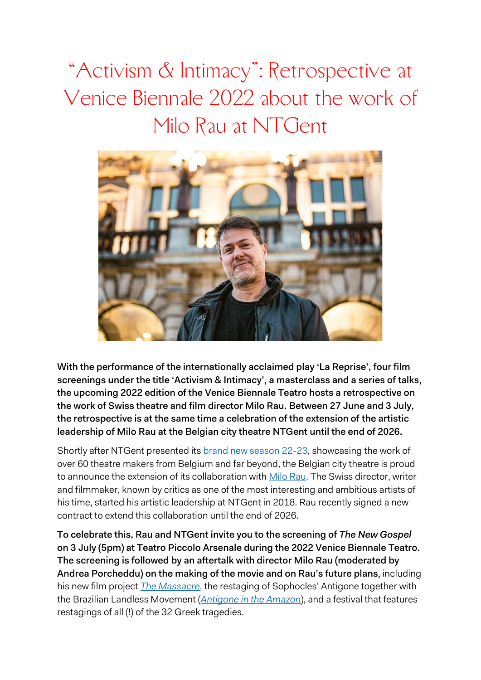"Activism & Intimacy": Retrospective at Venice Biennale 2022 about the work of Milo Rau at NTGent



With the performance of the internationally acclaimed play 'La Reprise', four film screenings under the title 'Activism & Intimacy', a masterclass and a series of talks, the upcoming 2022 edition of the Venice Biennale Teatro hosts a retrospective on the work of Swiss theatre and film director Milo Rau. Between 27 June and 3 July, the retrospective is at the same time a celebration of the extension of the artistic leadership of Milo Rau at the Belgian city theatre NTGent until the end of 2026.

Shortly after NTGent presented its [brand new season 22-23,](https://www.ntgent.be/en/news/read-the-magazine-online) showcasing the work of over 60 theatre makers from Belgium and far beyond, the Belgian city theatre is proud to announce the extension of its collaboration with [Milo Rau.](https://www.ntgent.be/en/ensemble/milo-rau) The Swiss director, writer and filmmaker, known by critics as one of the most interesting and ambitious artists of his time, started his artistic leadership at NTGent in 2018. Rau recently signed a new contract to extend this collaboration until the end of 2026.

To celebrate this, Rau and NTGent invite you to the screening of *The New Gospel* on 3 July (5pm) at [Teatro Piccolo Arsenale](https://www.labiennale.org/en/theatre/2022/biennale-teatro-2022/milo-rau-new-gospel-2022-07-03-17-00) during the 2022 Venice Biennale Teatro. The screening is followed by an aftertalk with director Milo Rau (moderated by Andrea Porcheddu) on the making of the movie and on Rau's future plans, including his new film project *[The Massacre](http://international-institute.de/the-massacre-new-film-project-for-2022-2/)*, the restaging of Sophocles' Antigone together with the Brazilian Landless Movement (*[Antigone in the Amazon](https://www.ntgent.be/en/productions/antigone-in-the-amazon)*), and a festival that features restagings of all (!) of the 32 Greek tragedies.